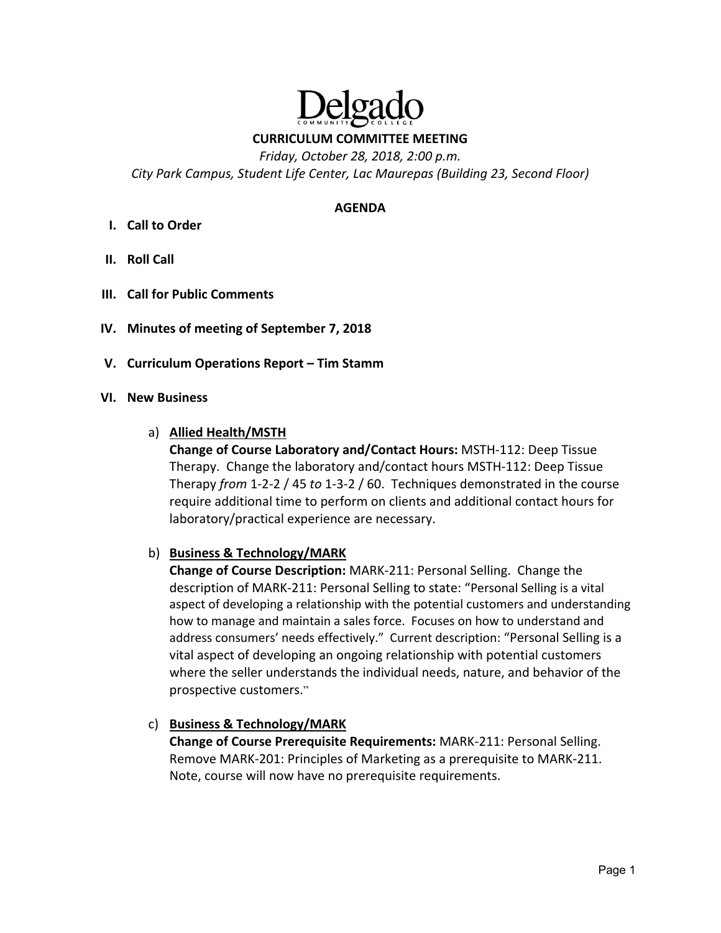

**CURRICULUM COMMITTEE MEETING** 

*Friday, October 28, 2018, 2:00 p.m.* 

*City Park Campus, Student Life Center, Lac Maurepas (Building 23, Second Floor)* 

#### **AGENDA**

- **I. Call to Order**
- **II. Roll Call**
- **III. Call for Public Comments**
- **IV. Minutes of meeting of September 7, 2018**
- **V. Curriculum Operations Report Tim Stamm**
- **VI. New Business**
	- a) **Allied Health/MSTH**

**Change of Course Laboratory and/Contact Hours:** MSTH‐112: Deep Tissue Therapy. Change the laboratory and/contact hours MSTH‐112: Deep Tissue Therapy *from* 1‐2‐2 / 45 *to* 1‐3‐2 / 60. Techniques demonstrated in the course require additional time to perform on clients and additional contact hours for laboratory/practical experience are necessary.

### b) **Business & Technology/MARK**

**Change of Course Description:** MARK‐211: Personal Selling. Change the description of MARK‐211: Personal Selling to state: "Personal Selling is a vital aspect of developing a relationship with the potential customers and understanding how to manage and maintain a sales force. Focuses on how to understand and address consumers' needs effectively." Current description: "Personal Selling is a vital aspect of developing an ongoing relationship with potential customers where the seller understands the individual needs, nature, and behavior of the prospective customers."

### c) **Business & Technology/MARK**

**Change of Course Prerequisite Requirements:** MARK‐211: Personal Selling. Remove MARK‐201: Principles of Marketing as a prerequisite to MARK‐211. Note, course will now have no prerequisite requirements.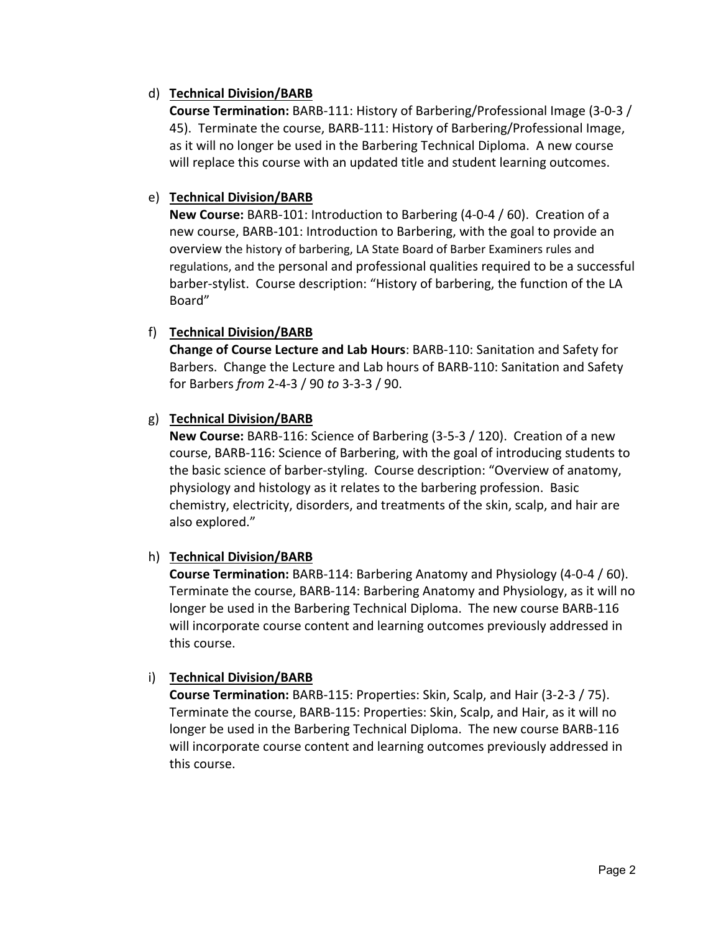## d) **Technical Division/BARB**

**Course Termination:** BARB‐111: History of Barbering/Professional Image (3‐0‐3 / 45). Terminate the course, BARB‐111: History of Barbering/Professional Image, as it will no longer be used in the Barbering Technical Diploma. A new course will replace this course with an updated title and student learning outcomes.

## e) **Technical Division/BARB**

**New Course:** BARB‐101: Introduction to Barbering (4‐0‐4 / 60). Creation of a new course, BARB‐101: Introduction to Barbering, with the goal to provide an overview the history of barbering, LA State Board of Barber Examiners rules and regulations, and the personal and professional qualities required to be a successful barber‐stylist. Course description: "History of barbering, the function of the LA Board"

### f) **Technical Division/BARB**

**Change of Course Lecture and Lab Hours**: BARB‐110: Sanitation and Safety for Barbers. Change the Lecture and Lab hours of BARB‐110: Sanitation and Safety for Barbers *from* 2‐4‐3 / 90 *to* 3‐3‐3 / 90.

### g) **Technical Division/BARB**

**New Course:** BARB‐116: Science of Barbering (3‐5‐3 / 120). Creation of a new course, BARB‐116: Science of Barbering, with the goal of introducing students to the basic science of barber‐styling. Course description: "Overview of anatomy, physiology and histology as it relates to the barbering profession. Basic chemistry, electricity, disorders, and treatments of the skin, scalp, and hair are also explored."

## h) **Technical Division/BARB**

**Course Termination:** BARB‐114: Barbering Anatomy and Physiology (4‐0‐4 / 60). Terminate the course, BARB‐114: Barbering Anatomy and Physiology, as it will no longer be used in the Barbering Technical Diploma. The new course BARB‐116 will incorporate course content and learning outcomes previously addressed in this course.

### i) **Technical Division/BARB**

**Course Termination:** BARB‐115: Properties: Skin, Scalp, and Hair (3‐2‐3 / 75). Terminate the course, BARB‐115: Properties: Skin, Scalp, and Hair, as it will no longer be used in the Barbering Technical Diploma. The new course BARB‐116 will incorporate course content and learning outcomes previously addressed in this course.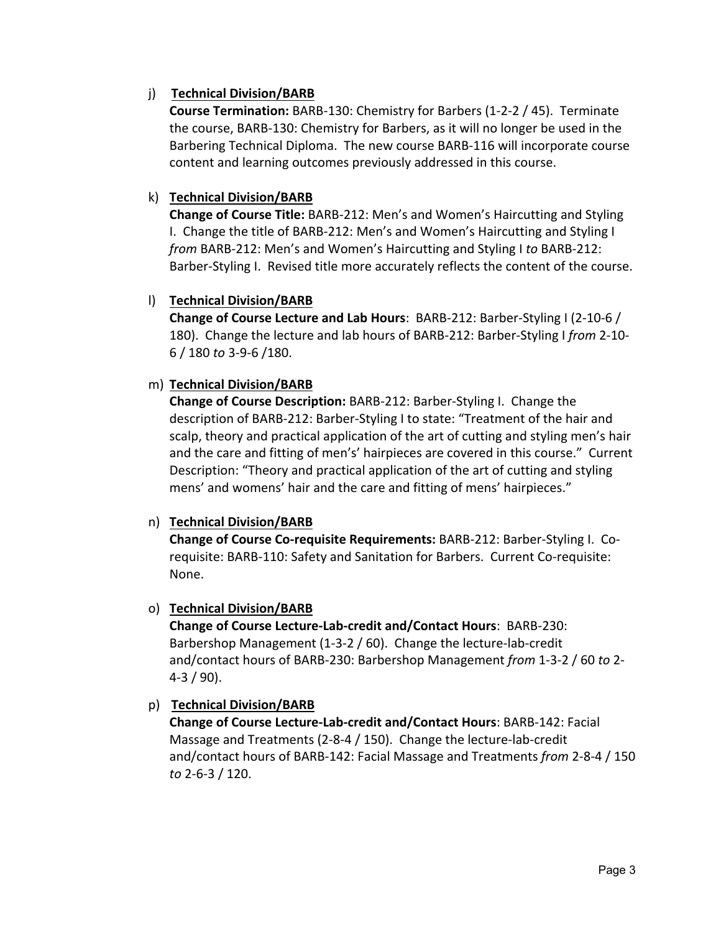# j) **Technical Division/BARB**

**Course Termination:** BARB‐130: Chemistry for Barbers (1‐2‐2 / 45). Terminate the course, BARB‐130: Chemistry for Barbers, as it will no longer be used in the Barbering Technical Diploma. The new course BARB‐116 will incorporate course content and learning outcomes previously addressed in this course.

# k) **Technical Division/BARB**

**Change of Course Title:** BARB‐212: Men's and Women's Haircutting and Styling I. Change the title of BARB‐212: Men's and Women's Haircutting and Styling I *from* BARB‐212: Men's and Women's Haircutting and Styling I *to* BARB‐212: Barber‐Styling I. Revised title more accurately reflects the content of the course.

## l) **Technical Division/BARB**

**Change of Course Lecture and Lab Hours**: BARB‐212: Barber‐Styling I (2‐10‐6 / 180). Change the lecture and lab hours of BARB‐212: Barber‐Styling I *from* 2‐10‐ 6 / 180 *to* 3‐9‐6 /180.

# m) **Technical Division/BARB**

**Change of Course Description:** BARB‐212: Barber‐Styling I. Change the description of BARB‐212: Barber‐Styling I to state: "Treatment of the hair and scalp, theory and practical application of the art of cutting and styling men's hair and the care and fitting of men's' hairpieces are covered in this course." Current Description: "Theory and practical application of the art of cutting and styling mens' and womens' hair and the care and fitting of mens' hairpieces."

## n) **Technical Division/BARB**

**Change of Course Co‐requisite Requirements:** BARB‐212: Barber‐Styling I. Co‐ requisite: BARB-110: Safety and Sanitation for Barbers. Current Co-requisite: None.

## o) **Technical Division/BARB**

**Change of Course Lecture‐Lab‐credit and/Contact Hours**: BARB‐230: Barbershop Management (1‐3‐2 / 60). Change the lecture‐lab‐credit and/contact hours of BARB‐230: Barbershop Management *from* 1‐3‐2 / 60 *to* 2‐  $4-3/90$ ).

## p) **Technical Division/BARB**

**Change of Course Lecture‐Lab‐credit and/Contact Hours**: BARB‐142: Facial Massage and Treatments (2‐8‐4 / 150). Change the lecture‐lab‐credit and/contact hours of BARB‐142: Facial Massage and Treatments *from* 2‐8‐4 / 150 *to* 2‐6‐3 / 120.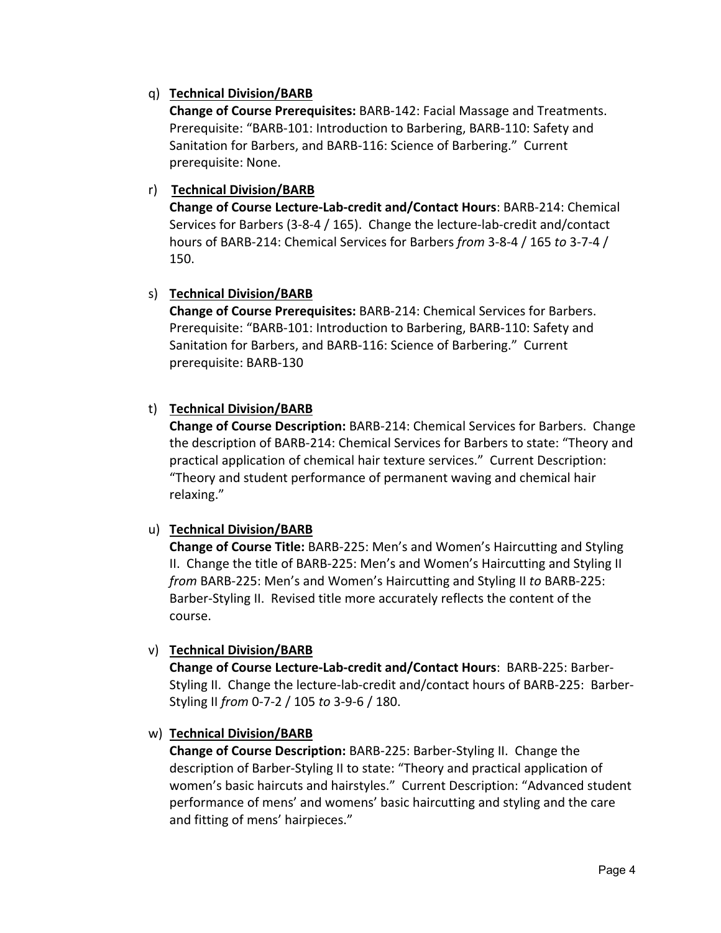## q) **Technical Division/BARB**

**Change of Course Prerequisites:** BARB‐142: Facial Massage and Treatments. Prerequisite: "BARB‐101: Introduction to Barbering, BARB‐110: Safety and Sanitation for Barbers, and BARB‐116: Science of Barbering." Current prerequisite: None.

## r) **Technical Division/BARB**

**Change of Course Lecture‐Lab‐credit and/Contact Hours**: BARB‐214: Chemical Services for Barbers (3‐8‐4 / 165). Change the lecture‐lab‐credit and/contact hours of BARB‐214: Chemical Services for Barbers *from* 3‐8‐4 / 165 *to* 3‐7‐4 / 150.

### s) **Technical Division/BARB**

**Change of Course Prerequisites:** BARB‐214: Chemical Services for Barbers. Prerequisite: "BARB‐101: Introduction to Barbering, BARB‐110: Safety and Sanitation for Barbers, and BARB‐116: Science of Barbering." Current prerequisite: BARB‐130

## t) **Technical Division/BARB**

**Change of Course Description:** BARB‐214: Chemical Services for Barbers. Change the description of BARB‐214: Chemical Services for Barbers to state: "Theory and practical application of chemical hair texture services." Current Description: "Theory and student performance of permanent waving and chemical hair relaxing."

### u) **Technical Division/BARB**

**Change of Course Title:** BARB‐225: Men's and Women's Haircutting and Styling II. Change the title of BARB‐225: Men's and Women's Haircutting and Styling II *from* BARB‐225: Men's and Women's Haircutting and Styling II *to* BARB‐225: Barber‐Styling II. Revised title more accurately reflects the content of the course.

### v) **Technical Division/BARB**

**Change of Course Lecture‐Lab‐credit and/Contact Hours**: BARB‐225: Barber‐ Styling II. Change the lecture‐lab‐credit and/contact hours of BARB‐225: Barber‐ Styling II *from* 0‐7‐2 / 105 *to* 3‐9‐6 / 180.

### w) **Technical Division/BARB**

**Change of Course Description:** BARB‐225: Barber‐Styling II. Change the description of Barber‐Styling II to state: "Theory and practical application of women's basic haircuts and hairstyles." Current Description: "Advanced student performance of mens' and womens' basic haircutting and styling and the care and fitting of mens' hairpieces."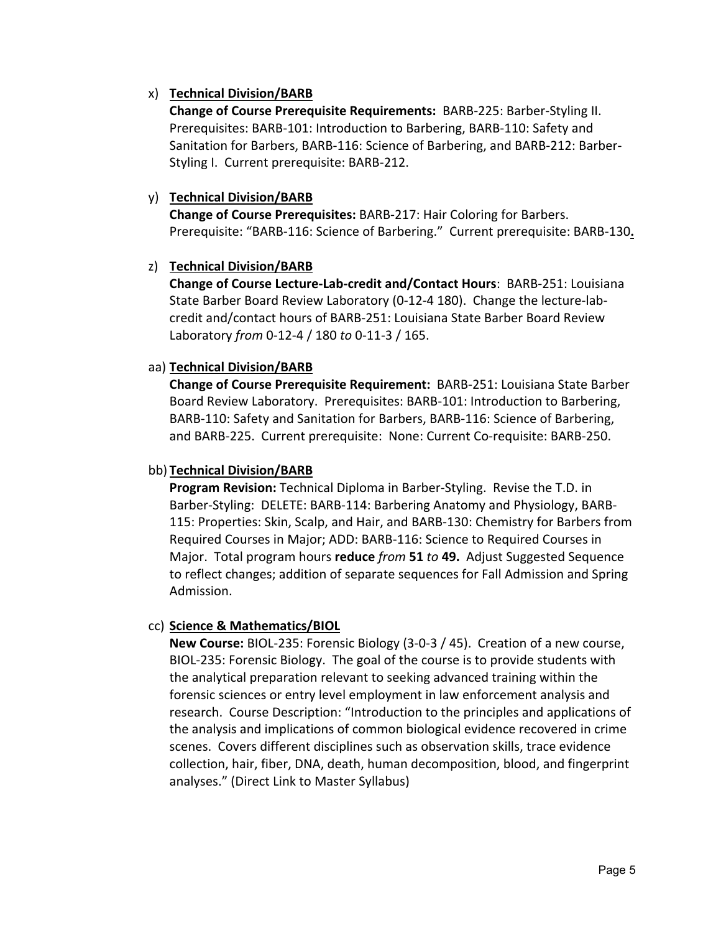## x) **Technical Division/BARB**

**Change of Course Prerequisite Requirements: BARB-225: Barber-Styling II.** Prerequisites: BARB‐101: Introduction to Barbering, BARB‐110: Safety and Sanitation for Barbers, BARB‐116: Science of Barbering, and BARB‐212: Barber‐ Styling I. Current prerequisite: BARB‐212.

## y) **Technical Division/BARB**

**Change of Course Prerequisites:** BARB‐217: Hair Coloring for Barbers. Prerequisite: "BARB‐116: Science of Barbering." Current prerequisite: BARB‐130**.**

## z) **Technical Division/BARB**

**Change of Course Lecture‐Lab‐credit and/Contact Hours**: BARB‐251: Louisiana State Barber Board Review Laboratory (0‐12‐4 180). Change the lecture‐lab‐ credit and/contact hours of BARB‐251: Louisiana State Barber Board Review Laboratory *from* 0‐12‐4 / 180 *to* 0‐11‐3 / 165.

## aa) **Technical Division/BARB**

**Change of Course Prerequisite Requirement:** BARB‐251: Louisiana State Barber Board Review Laboratory. Prerequisites: BARB‐101: Introduction to Barbering, BARB‐110: Safety and Sanitation for Barbers, BARB‐116: Science of Barbering, and BARB‐225. Current prerequisite: None: Current Co‐requisite: BARB‐250.

### bb) **Technical Division/BARB**

**Program Revision:** Technical Diploma in Barber‐Styling. Revise the T.D. in Barber‐Styling: DELETE: BARB‐114: Barbering Anatomy and Physiology, BARB‐ 115: Properties: Skin, Scalp, and Hair, and BARB‐130: Chemistry for Barbers from Required Courses in Major; ADD: BARB‐116: Science to Required Courses in Major. Total program hours **reduce** *from* **51** *to* **49.** Adjust Suggested Sequence to reflect changes; addition of separate sequences for Fall Admission and Spring Admission.

## cc) **Science & Mathematics/BIOL**

**New Course:** BIOL‐235: Forensic Biology (3‐0‐3 / 45). Creation of a new course, BIOL‐235: Forensic Biology. The goal of the course is to provide students with the analytical preparation relevant to seeking advanced training within the forensic sciences or entry level employment in law enforcement analysis and research. Course Description: "Introduction to the principles and applications of the analysis and implications of common biological evidence recovered in crime scenes. Covers different disciplines such as observation skills, trace evidence collection, hair, fiber, DNA, death, human decomposition, blood, and fingerprint analyses." (Direct Link to Master Syllabus)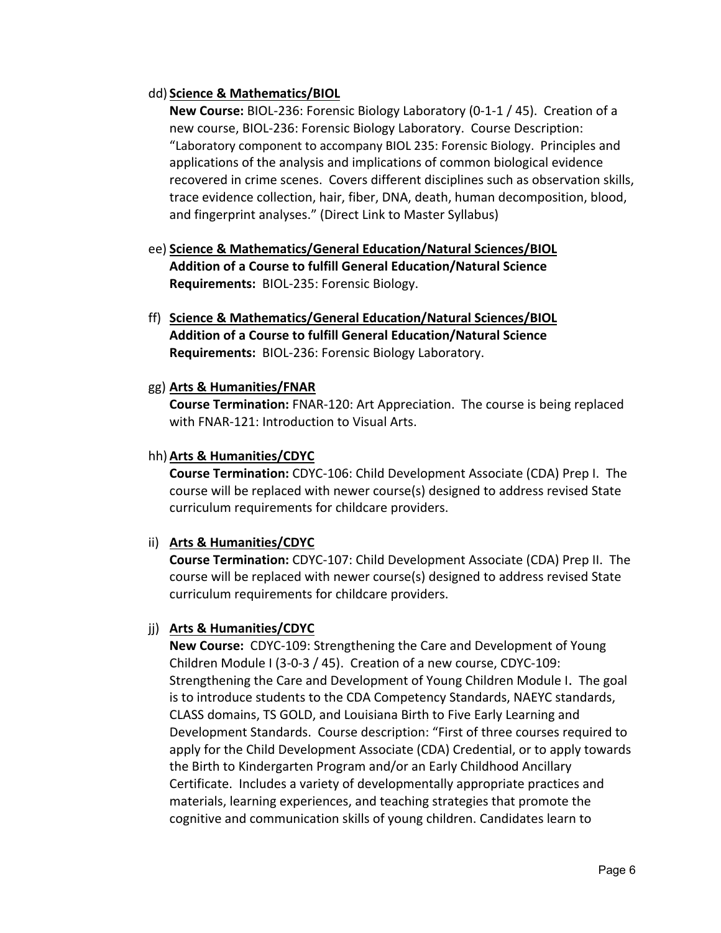### dd) **Science & Mathematics/BIOL**

**New Course:** BIOL‐236: Forensic Biology Laboratory (0‐1‐1 / 45). Creation of a new course, BIOL‐236: Forensic Biology Laboratory. Course Description: "Laboratory component to accompany BIOL 235: Forensic Biology. Principles and applications of the analysis and implications of common biological evidence recovered in crime scenes. Covers different disciplines such as observation skills, trace evidence collection, hair, fiber, DNA, death, human decomposition, blood, and fingerprint analyses." (Direct Link to Master Syllabus)

- ee) **Science & Mathematics/General Education/Natural Sciences/BIOL Addition of a Course to fulfill General Education/Natural Science Requirements:** BIOL‐235: Forensic Biology.
- ff) **Science & Mathematics/General Education/Natural Sciences/BIOL Addition of a Course to fulfill General Education/Natural Science Requirements:** BIOL‐236: Forensic Biology Laboratory.

## gg) **Arts & Humanities/FNAR**

**Course Termination:** FNAR‐120: Art Appreciation. The course is being replaced with FNAR‐121: Introduction to Visual Arts.

## hh)**Arts & Humanities/CDYC**

**Course Termination:** CDYC‐106: Child Development Associate (CDA) Prep I. The course will be replaced with newer course(s) designed to address revised State curriculum requirements for childcare providers.

## ii) **Arts & Humanities/CDYC**

**Course Termination:** CDYC‐107: Child Development Associate (CDA) Prep II. The course will be replaced with newer course(s) designed to address revised State curriculum requirements for childcare providers.

## jj) **Arts & Humanities/CDYC**

**New Course:** CDYC-109: Strengthening the Care and Development of Young Children Module I (3‐0‐3 / 45). Creation of a new course, CDYC‐109: Strengthening the Care and Development of Young Children Module I. The goal is to introduce students to the CDA Competency Standards, NAEYC standards, CLASS domains, TS GOLD, and Louisiana Birth to Five Early Learning and Development Standards. Course description: "First of three courses required to apply for the Child Development Associate (CDA) Credential, or to apply towards the Birth to Kindergarten Program and/or an Early Childhood Ancillary Certificate. Includes a variety of developmentally appropriate practices and materials, learning experiences, and teaching strategies that promote the cognitive and communication skills of young children. Candidates learn to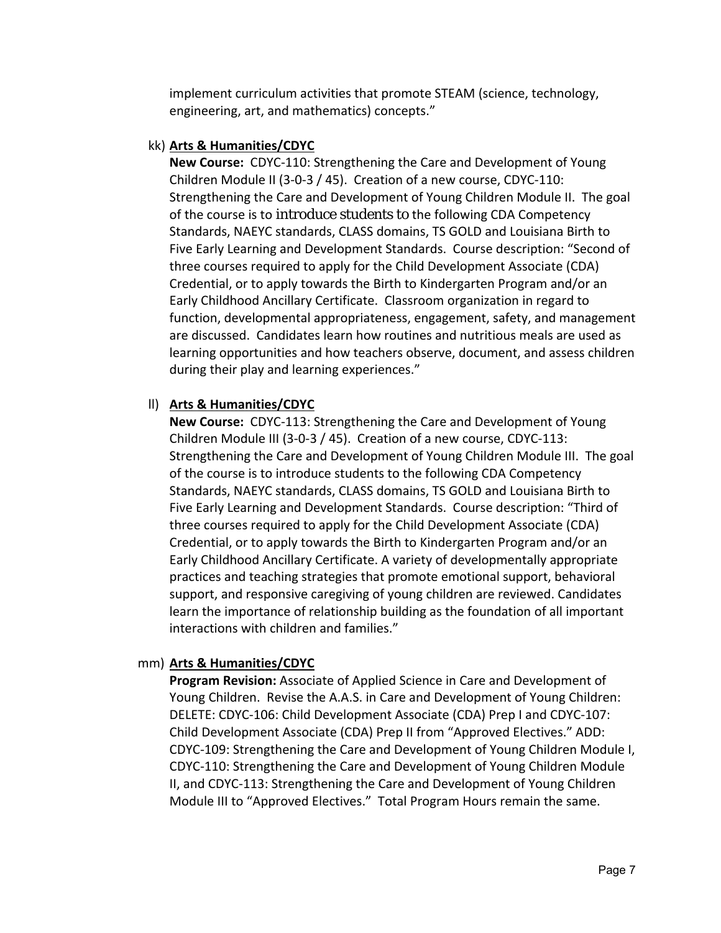implement curriculum activities that promote STEAM (science, technology, engineering, art, and mathematics) concepts."

#### kk) **Arts & Humanities/CDYC**

**New Course: CDYC-110: Strengthening the Care and Development of Young** Children Module II (3‐0‐3 / 45). Creation of a new course, CDYC‐110: Strengthening the Care and Development of Young Children Module II. The goal of the course is to introduce students to the following CDA Competency Standards, NAEYC standards, CLASS domains, TS GOLD and Louisiana Birth to Five Early Learning and Development Standards. Course description: "Second of three courses required to apply for the Child Development Associate (CDA) Credential, or to apply towards the Birth to Kindergarten Program and/or an Early Childhood Ancillary Certificate. Classroom organization in regard to function, developmental appropriateness, engagement, safety, and management are discussed. Candidates learn how routines and nutritious meals are used as learning opportunities and how teachers observe, document, and assess children during their play and learning experiences."

### ll) **Arts & Humanities/CDYC**

**New Course:** CDYC-113: Strengthening the Care and Development of Young Children Module III (3‐0‐3 / 45). Creation of a new course, CDYC‐113: Strengthening the Care and Development of Young Children Module III. The goal of the course is to introduce students to the following CDA Competency Standards, NAEYC standards, CLASS domains, TS GOLD and Louisiana Birth to Five Early Learning and Development Standards. Course description: "Third of three courses required to apply for the Child Development Associate (CDA) Credential, or to apply towards the Birth to Kindergarten Program and/or an Early Childhood Ancillary Certificate. A variety of developmentally appropriate practices and teaching strategies that promote emotional support, behavioral support, and responsive caregiving of young children are reviewed. Candidates learn the importance of relationship building as the foundation of all important interactions with children and families."

### mm) **Arts & Humanities/CDYC**

**Program Revision:** Associate of Applied Science in Care and Development of Young Children. Revise the A.A.S. in Care and Development of Young Children: DELETE: CDYC‐106: Child Development Associate (CDA) Prep I and CDYC‐107: Child Development Associate (CDA) Prep II from "Approved Electives." ADD: CDYC‐109: Strengthening the Care and Development of Young Children Module I, CDYC‐110: Strengthening the Care and Development of Young Children Module II, and CDYC‐113: Strengthening the Care and Development of Young Children Module III to "Approved Electives." Total Program Hours remain the same.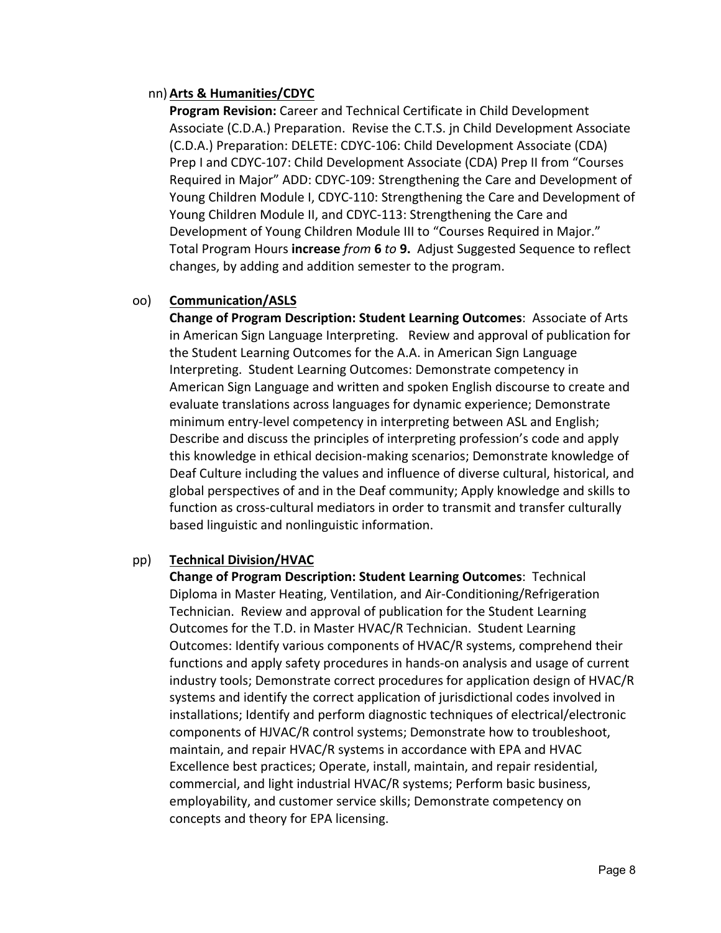### nn)**Arts & Humanities/CDYC**

**Program Revision:** Career and Technical Certificate in Child Development Associate (C.D.A.) Preparation. Revise the C.T.S. jn Child Development Associate (C.D.A.) Preparation: DELETE: CDYC‐106: Child Development Associate (CDA) Prep I and CDYC‐107: Child Development Associate (CDA) Prep II from "Courses Required in Major" ADD: CDYC‐109: Strengthening the Care and Development of Young Children Module I, CDYC‐110: Strengthening the Care and Development of Young Children Module II, and CDYC‐113: Strengthening the Care and Development of Young Children Module III to "Courses Required in Major." Total Program Hours **increase** *from* **6** *to* **9.** Adjust Suggested Sequence to reflect changes, by adding and addition semester to the program.

### oo) **Communication/ASLS**

**Change of Program Description: Student Learning Outcomes**:Associate of Arts in American Sign Language Interpreting. Review and approval of publication for the Student Learning Outcomes for the A.A. in American Sign Language Interpreting. Student Learning Outcomes: Demonstrate competency in American Sign Language and written and spoken English discourse to create and evaluate translations across languages for dynamic experience; Demonstrate minimum entry‐level competency in interpreting between ASL and English; Describe and discuss the principles of interpreting profession's code and apply this knowledge in ethical decision‐making scenarios; Demonstrate knowledge of Deaf Culture including the values and influence of diverse cultural, historical, and global perspectives of and in the Deaf community; Apply knowledge and skills to function as cross-cultural mediators in order to transmit and transfer culturally based linguistic and nonlinguistic information.

### pp) **Technical Division/HVAC**

**Change of Program Description: Student Learning Outcomes**: Technical Diploma in Master Heating, Ventilation, and Air‐Conditioning/Refrigeration Technician. Review and approval of publication for the Student Learning Outcomes for the T.D. in Master HVAC/R Technician. Student Learning Outcomes: Identify various components of HVAC/R systems, comprehend their functions and apply safety procedures in hands-on analysis and usage of current industry tools; Demonstrate correct procedures for application design of HVAC/R systems and identify the correct application of jurisdictional codes involved in installations; Identify and perform diagnostic techniques of electrical/electronic components of HJVAC/R control systems; Demonstrate how to troubleshoot, maintain, and repair HVAC/R systems in accordance with EPA and HVAC Excellence best practices; Operate, install, maintain, and repair residential, commercial, and light industrial HVAC/R systems; Perform basic business, employability, and customer service skills; Demonstrate competency on concepts and theory for EPA licensing.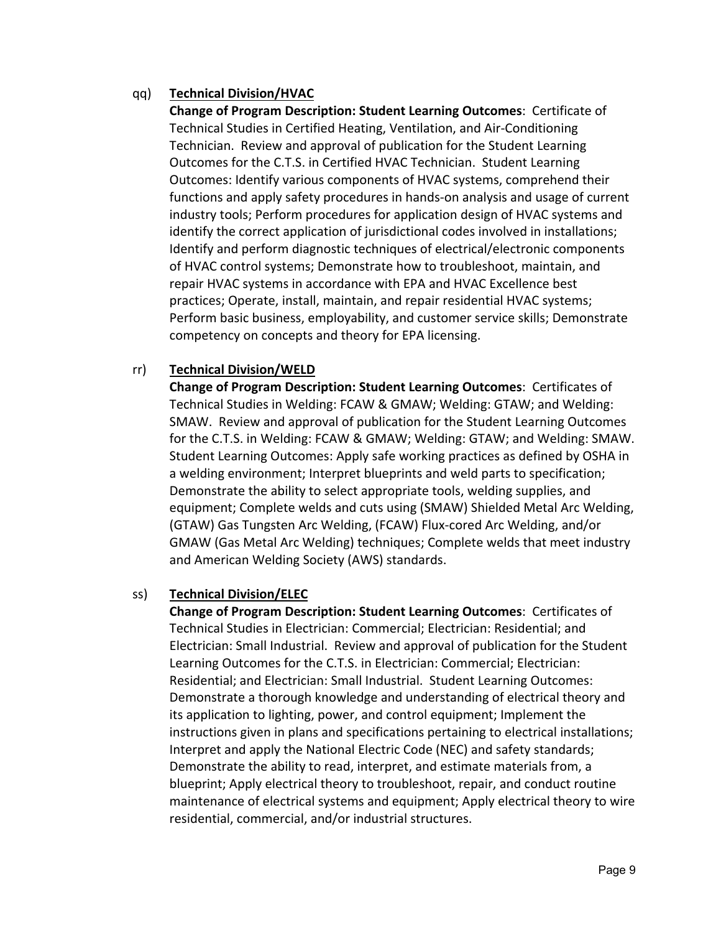## qq) **Technical Division/HVAC**

**Change of Program Description: Student Learning Outcomes**: Certificate of Technical Studies in Certified Heating, Ventilation, and Air‐Conditioning Technician. Review and approval of publication for the Student Learning Outcomes for the C.T.S. in Certified HVAC Technician. Student Learning Outcomes: Identify various components of HVAC systems, comprehend their functions and apply safety procedures in hands-on analysis and usage of current industry tools; Perform procedures for application design of HVAC systems and identify the correct application of jurisdictional codes involved in installations; Identify and perform diagnostic techniques of electrical/electronic components of HVAC control systems; Demonstrate how to troubleshoot, maintain, and repair HVAC systems in accordance with EPA and HVAC Excellence best practices; Operate, install, maintain, and repair residential HVAC systems; Perform basic business, employability, and customer service skills; Demonstrate competency on concepts and theory for EPA licensing.

### rr) **Technical Division/WELD**

**Change of Program Description: Student Learning Outcomes**:Certificates of Technical Studies in Welding: FCAW & GMAW; Welding: GTAW; and Welding: SMAW. Review and approval of publication for the Student Learning Outcomes for the C.T.S. in Welding: FCAW & GMAW; Welding: GTAW; and Welding: SMAW. Student Learning Outcomes: Apply safe working practices as defined by OSHA in a welding environment; Interpret blueprints and weld parts to specification; Demonstrate the ability to select appropriate tools, welding supplies, and equipment; Complete welds and cuts using (SMAW) Shielded Metal Arc Welding, (GTAW) Gas Tungsten Arc Welding, (FCAW) Flux‐cored Arc Welding, and/or GMAW (Gas Metal Arc Welding) techniques; Complete welds that meet industry and American Welding Society (AWS) standards.

### ss) **Technical Division/ELEC**

**Change of Program Description: Student Learning Outcomes**:Certificates of Technical Studies in Electrician: Commercial; Electrician: Residential; and Electrician: Small Industrial. Review and approval of publication for the Student Learning Outcomes for the C.T.S. in Electrician: Commercial; Electrician: Residential; and Electrician: Small Industrial. Student Learning Outcomes: Demonstrate a thorough knowledge and understanding of electrical theory and its application to lighting, power, and control equipment; Implement the instructions given in plans and specifications pertaining to electrical installations; Interpret and apply the National Electric Code (NEC) and safety standards; Demonstrate the ability to read, interpret, and estimate materials from, a blueprint; Apply electrical theory to troubleshoot, repair, and conduct routine maintenance of electrical systems and equipment; Apply electrical theory to wire residential, commercial, and/or industrial structures.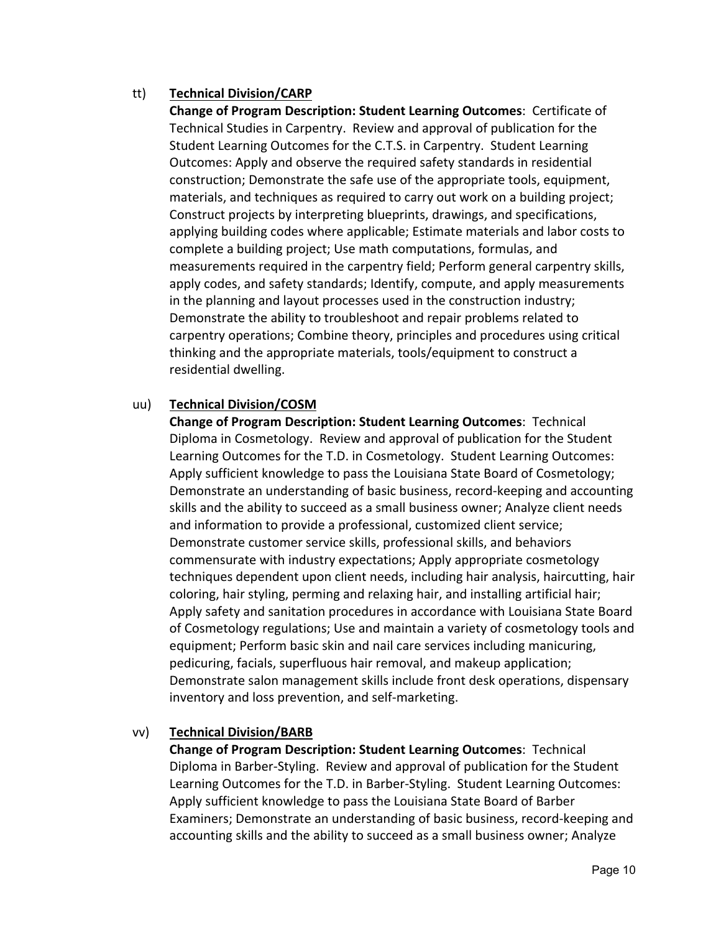## tt) **Technical Division/CARP**

**Change of Program Description: Student Learning Outcomes**:Certificate of Technical Studies in Carpentry. Review and approval of publication for the Student Learning Outcomes for the C.T.S. in Carpentry. Student Learning Outcomes: Apply and observe the required safety standards in residential construction; Demonstrate the safe use of the appropriate tools, equipment, materials, and techniques as required to carry out work on a building project; Construct projects by interpreting blueprints, drawings, and specifications, applying building codes where applicable; Estimate materials and labor costs to complete a building project; Use math computations, formulas, and measurements required in the carpentry field; Perform general carpentry skills, apply codes, and safety standards; Identify, compute, and apply measurements in the planning and layout processes used in the construction industry; Demonstrate the ability to troubleshoot and repair problems related to carpentry operations; Combine theory, principles and procedures using critical thinking and the appropriate materials, tools/equipment to construct a residential dwelling.

### uu) **Technical Division/COSM**

**Change of Program Description: Student Learning Outcomes**:Technical Diploma in Cosmetology. Review and approval of publication for the Student Learning Outcomes for the T.D. in Cosmetology. Student Learning Outcomes: Apply sufficient knowledge to pass the Louisiana State Board of Cosmetology; Demonstrate an understanding of basic business, record‐keeping and accounting skills and the ability to succeed as a small business owner; Analyze client needs and information to provide a professional, customized client service; Demonstrate customer service skills, professional skills, and behaviors commensurate with industry expectations; Apply appropriate cosmetology techniques dependent upon client needs, including hair analysis, haircutting, hair coloring, hair styling, perming and relaxing hair, and installing artificial hair; Apply safety and sanitation procedures in accordance with Louisiana State Board of Cosmetology regulations; Use and maintain a variety of cosmetology tools and equipment; Perform basic skin and nail care services including manicuring, pedicuring, facials, superfluous hair removal, and makeup application; Demonstrate salon management skills include front desk operations, dispensary inventory and loss prevention, and self‐marketing.

### vv) **Technical Division/BARB**

**Change of Program Description: Student Learning Outcomes**:Technical Diploma in Barber‐Styling. Review and approval of publication for the Student Learning Outcomes for the T.D. in Barber‐Styling. Student Learning Outcomes: Apply sufficient knowledge to pass the Louisiana State Board of Barber Examiners; Demonstrate an understanding of basic business, record‐keeping and accounting skills and the ability to succeed as a small business owner; Analyze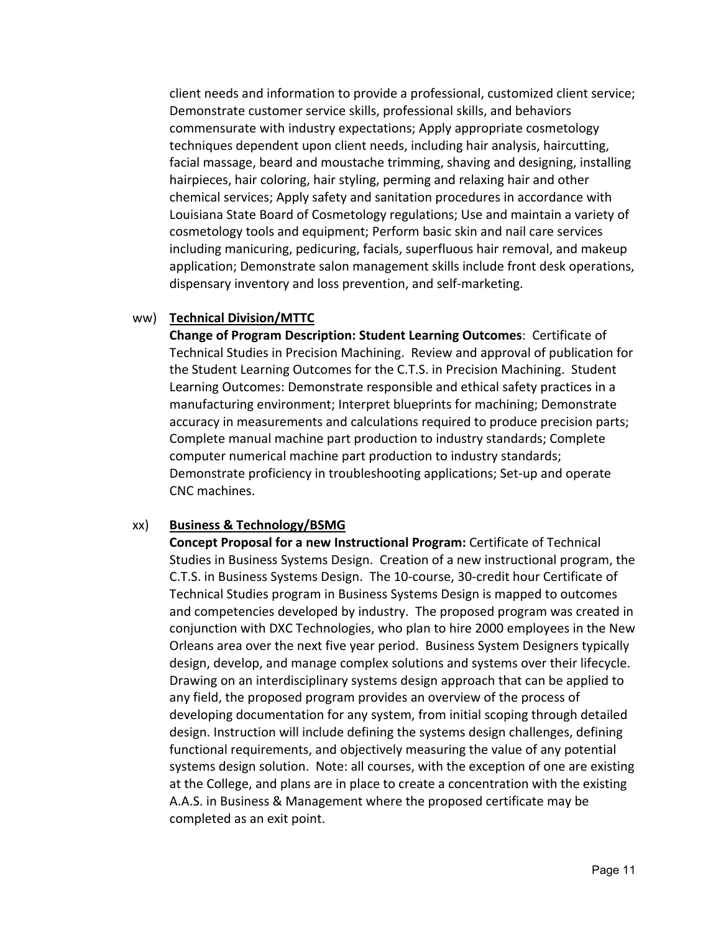client needs and information to provide a professional, customized client service; Demonstrate customer service skills, professional skills, and behaviors commensurate with industry expectations; Apply appropriate cosmetology techniques dependent upon client needs, including hair analysis, haircutting, facial massage, beard and moustache trimming, shaving and designing, installing hairpieces, hair coloring, hair styling, perming and relaxing hair and other chemical services; Apply safety and sanitation procedures in accordance with Louisiana State Board of Cosmetology regulations; Use and maintain a variety of cosmetology tools and equipment; Perform basic skin and nail care services including manicuring, pedicuring, facials, superfluous hair removal, and makeup application; Demonstrate salon management skills include front desk operations, dispensary inventory and loss prevention, and self‐marketing.

#### ww) **Technical Division/MTTC**

**Change of Program Description: Student Learning Outcomes**:Certificate of Technical Studies in Precision Machining. Review and approval of publication for the Student Learning Outcomes for the C.T.S. in Precision Machining. Student Learning Outcomes: Demonstrate responsible and ethical safety practices in a manufacturing environment; Interpret blueprints for machining; Demonstrate accuracy in measurements and calculations required to produce precision parts; Complete manual machine part production to industry standards; Complete computer numerical machine part production to industry standards; Demonstrate proficiency in troubleshooting applications; Set-up and operate CNC machines.

#### xx) **Business & Technology/BSMG**

**Concept Proposal for a new Instructional Program:** Certificate of Technical Studies in Business Systems Design. Creation of a new instructional program, the C.T.S. in Business Systems Design. The 10‐course, 30‐credit hour Certificate of Technical Studies program in Business Systems Design is mapped to outcomes and competencies developed by industry. The proposed program was created in conjunction with DXC Technologies, who plan to hire 2000 employees in the New Orleans area over the next five year period. Business System Designers typically design, develop, and manage complex solutions and systems over their lifecycle. Drawing on an interdisciplinary systems design approach that can be applied to any field, the proposed program provides an overview of the process of developing documentation for any system, from initial scoping through detailed design. Instruction will include defining the systems design challenges, defining functional requirements, and objectively measuring the value of any potential systems design solution. Note: all courses, with the exception of one are existing at the College, and plans are in place to create a concentration with the existing A.A.S. in Business & Management where the proposed certificate may be completed as an exit point.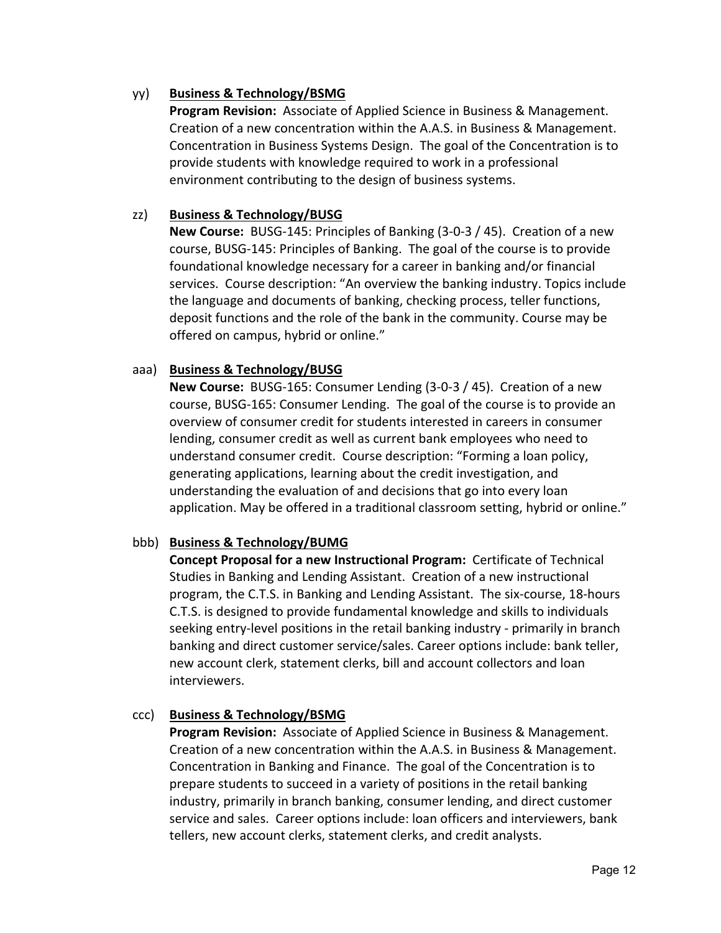## yy) **Business & Technology/BSMG**

**Program Revision:** Associate of Applied Science in Business & Management. Creation of a new concentration within the A.A.S. in Business & Management. Concentration in Business Systems Design. The goal of the Concentration is to provide students with knowledge required to work in a professional environment contributing to the design of business systems.

## zz) **Business & Technology/BUSG**

**New Course:** BUSG‐145: Principles of Banking (3‐0‐3 / 45). Creation of a new course, BUSG‐145: Principles of Banking. The goal of the course is to provide foundational knowledge necessary for a career in banking and/or financial services. Course description: "An overview the banking industry. Topics include the language and documents of banking, checking process, teller functions, deposit functions and the role of the bank in the community. Course may be offered on campus, hybrid or online."

## aaa) **Business & Technology/BUSG**

**New Course:** BUSG-165: Consumer Lending (3-0-3 / 45). Creation of a new course, BUSG‐165: Consumer Lending. The goal of the course is to provide an overview of consumer credit for students interested in careers in consumer lending, consumer credit as well as current bank employees who need to understand consumer credit. Course description: "Forming a loan policy, generating applications, learning about the credit investigation, and understanding the evaluation of and decisions that go into every loan application. May be offered in a traditional classroom setting, hybrid or online."

## bbb) **Business & Technology/BUMG**

**Concept Proposal for a new Instructional Program:** Certificate of Technical Studies in Banking and Lending Assistant. Creation of a new instructional program, the C.T.S. in Banking and Lending Assistant. The six‐course, 18‐hours C.T.S. is designed to provide fundamental knowledge and skills to individuals seeking entry‐level positions in the retail banking industry ‐ primarily in branch banking and direct customer service/sales. Career options include: bank teller, new account clerk, statement clerks, bill and account collectors and loan interviewers.

### ccc) **Business & Technology/BSMG**

**Program Revision:** Associate of Applied Science in Business & Management. Creation of a new concentration within the A.A.S. in Business & Management. Concentration in Banking and Finance. The goal of the Concentration is to prepare students to succeed in a variety of positions in the retail banking industry, primarily in branch banking, consumer lending, and direct customer service and sales. Career options include: loan officers and interviewers, bank tellers, new account clerks, statement clerks, and credit analysts.